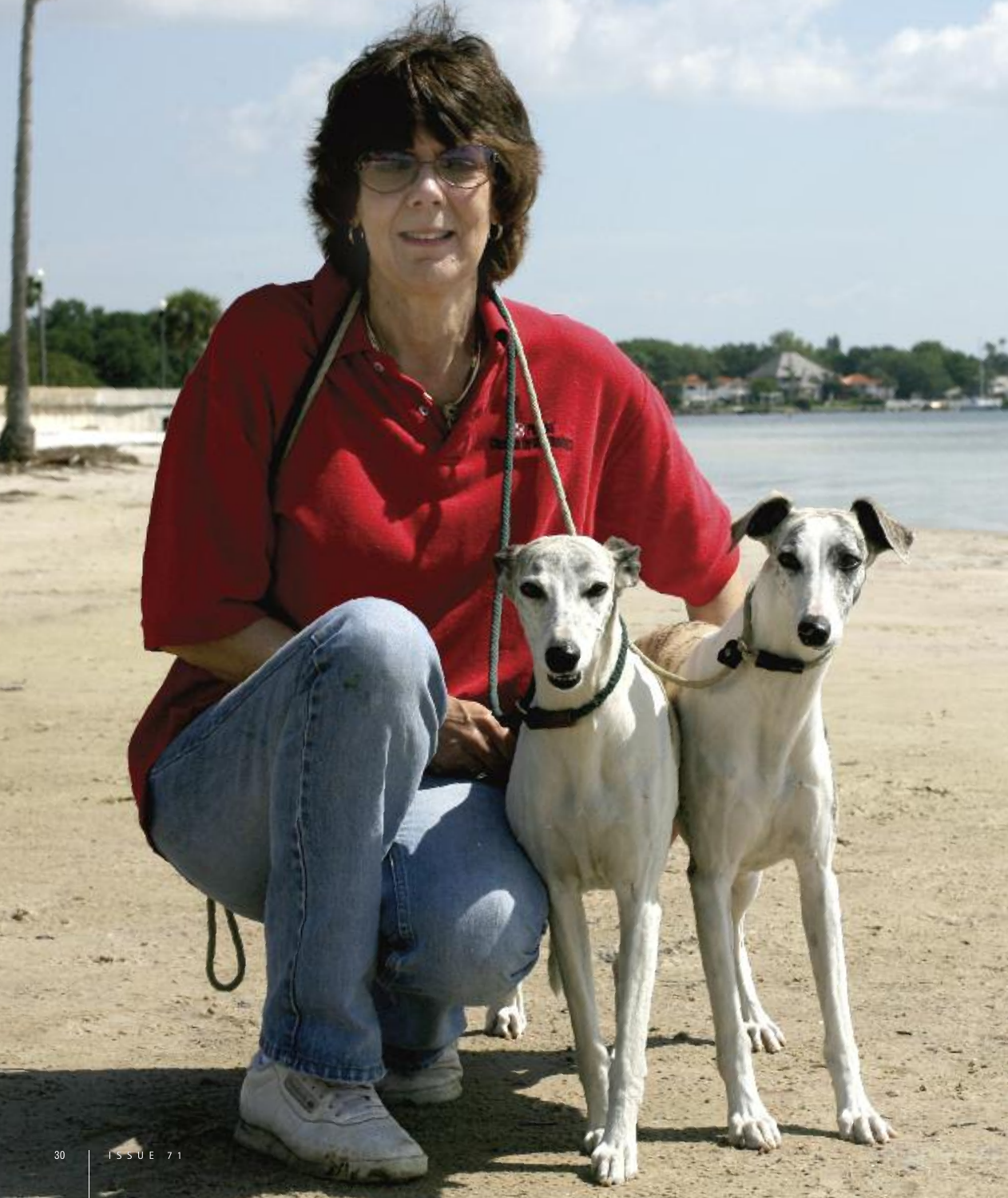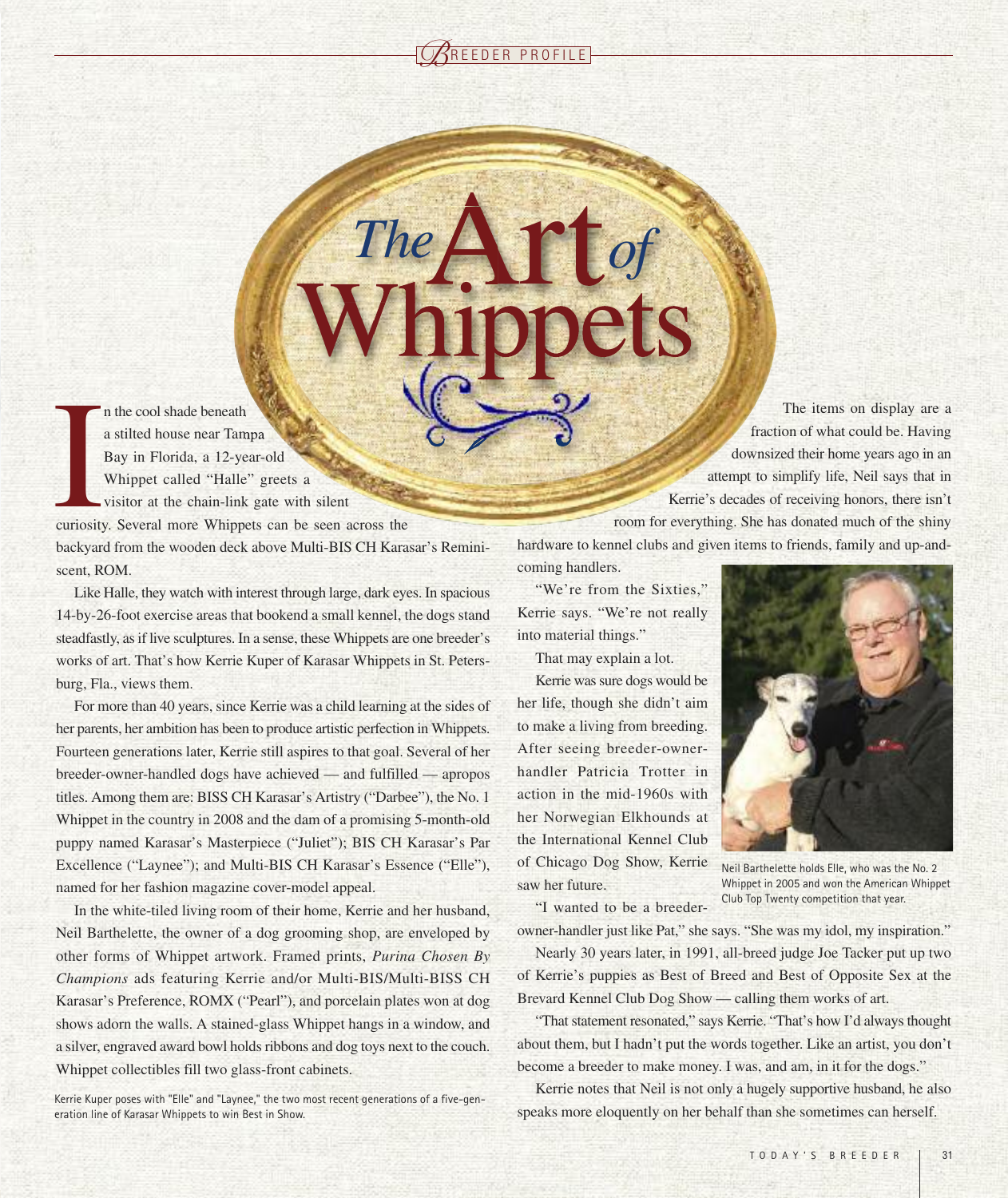## **REEDER PROFILE**

Whippets Art *The of*

In the cool shade beneath<br>
a stilted house near Tampa<br>
Bay in Florida, a 12-year-old<br>
Whippet called "Halle" greets a<br>
visitor at the chain-link gate with silent<br>
curiosity. Several more Whippets can be seen across the n the cool shade beneath a stilted house near Tampa Bay in Florida, a 12-year-old Whippet called "Halle" greets a visitor at the chain-link gate with silent

backyard from the wooden deck above Multi-BIS CH Karasar's Reminiscent, ROM.

Like Halle, they watch with interest through large, dark eyes. In spacious 14-by-26-foot exercise areas that bookend a small kennel, the dogs stand steadfastly, as if live sculptures. In a sense, these Whippets are one breeder's works of art. That's how Kerrie Kuper of Karasar Whippets in St. Petersburg, Fla., views them.

For more than 40 years, since Kerrie was a child learning at the sides of her parents, her ambition has been to produce artistic perfection in Whippets. Fourteen generations later, Kerrie still aspires to that goal. Several of her breeder-owner-handled dogs have achieved — and fulfilled — apropos titles. Among them are: BISS CH Karasar's Artistry ("Darbee"), the No. 1 Whippet in the country in 2008 and the dam of a promising 5-month-old puppy named Karasar's Masterpiece ("Juliet"); BIS CH Karasar's Par Excellence ("Laynee"); and Multi-BIS CH Karasar's Essence ("Elle"), named for her fashion magazine cover-model appeal.

In the white-tiled living room of their home, Kerrie and her husband, Neil Barthelette, the owner of a dog grooming shop, are enveloped by other forms of Whippet artwork. Framed prints, *Purina Chosen By Champions* ads featuring Kerrie and/or Multi-BIS/Multi-BISS CH Karasar's Preference, ROMX ("Pearl"), and porcelain plates won at dog shows adorn the walls. A stained-glass Whippet hangs in a window, and a silver, engraved award bowl holds ribbons and dog toys next to the couch. Whippet collectibles fill two glass-front cabinets.

Kerrie Kuper poses with "Elle" and "Laynee," the two most recent generations of a five-generation line of Karasar Whippets to win Best in Show.

The items on display are a fraction of what could be. Having downsized their home years ago in an attempt to simplify life, Neil says that in Kerrie's decades of receiving honors, there isn't room for everything. She has donated much of the shiny

hardware to kennel clubs and given items to friends, family and up-andcoming handlers.

"We're from the Sixties," Kerrie says. "We're not really into material things."

That may explain a lot.

Kerrie was sure dogs would be her life, though she didn't aim to make a living from breeding. After seeing breeder-ownerhandler Patricia Trotter in action in the mid-1960s with her Norwegian Elkhounds at the International Kennel Club of Chicago Dog Show, Kerrie saw her future.

Neil Barthelette holds Elle, who was the No. 2 Whippet in 2005 and won the American Whippet Club Top Twenty competition that year.

"I wanted to be a breeder-

owner-handler just like Pat," she says. "She was my idol, my inspiration."

Nearly 30 years later, in 1991, all-breed judge Joe Tacker put up two of Kerrie's puppies as Best of Breed and Best of Opposite Sex at the Brevard Kennel Club Dog Show — calling them works of art.

"That statement resonated," says Kerrie. "That's how I'd always thought about them, but I hadn't put the words together. Like an artist, you don't become a breeder to make money. I was, and am, in it for the dogs."

Kerrie notes that Neil is not only a hugely supportive husband, he also speaks more eloquently on her behalf than she sometimes can herself.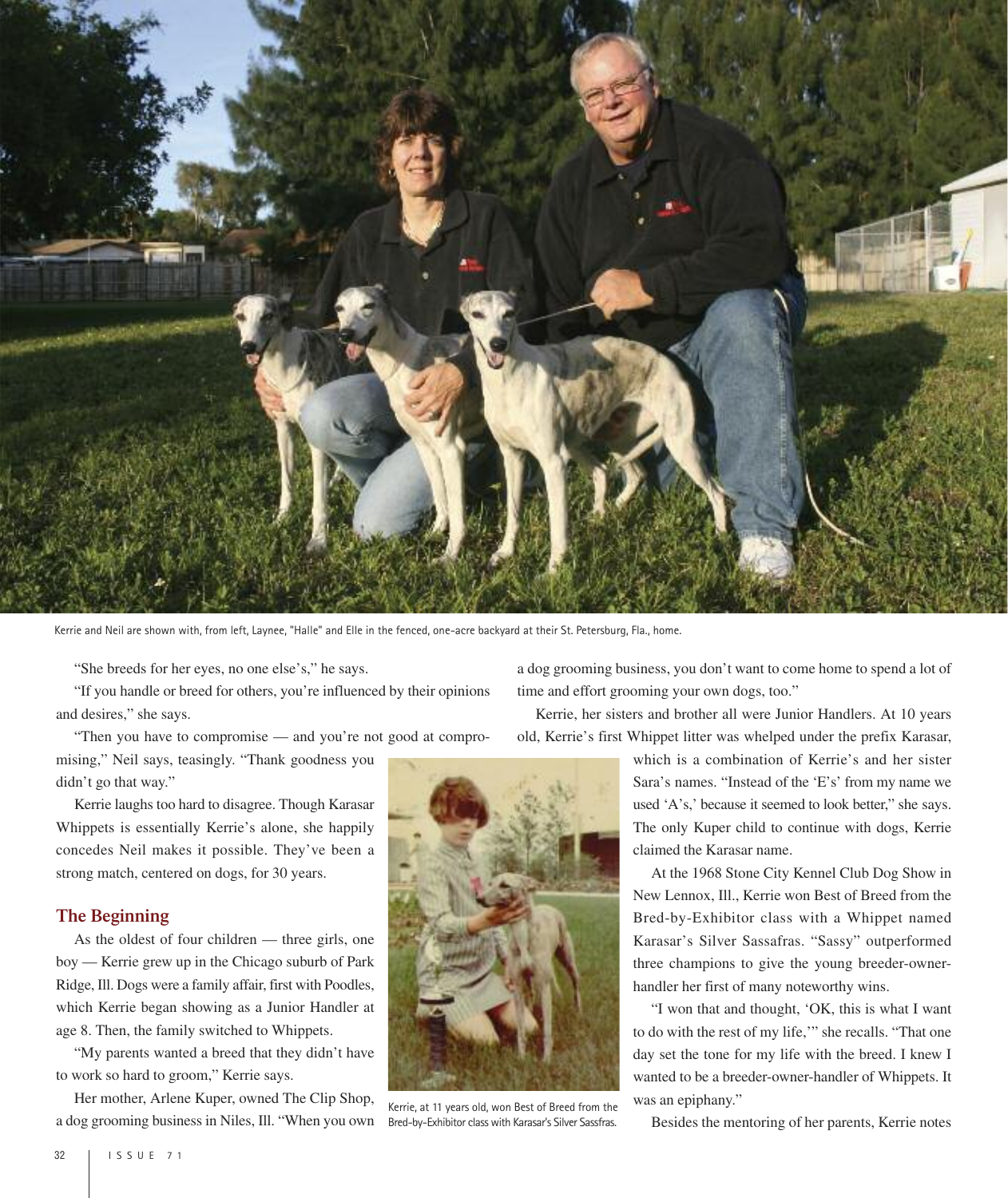

Kerrie and Neil are shown with, from left, Laynee, "Halle" and Elle in the fenced, one-acre backyard at their St. Petersburg, Fla., home.

"She breeds for her eyes, no one else's," he says.

"If you handle or breed for others, you're influenced by their opinions and desires," she says.

"Then you have to compromise — and you're not good at compromising," Neil says, teasingly. "Thank goodness you didn't go that way."

Kerrie laughs too hard to disagree. Though Karasar Whippets is essentially Kerrie's alone, she happily concedes Neil makes it possible. They've been a strong match, centered on dogs, for 30 years.

### **The Beginning**

As the oldest of four children — three girls, one boy — Kerrie grew up in the Chicago suburb of Park Ridge, Ill. Dogs were a family affair, first with Poodles, which Kerrie began showing as a Junior Handler at age 8. Then, the family switched to Whippets.

"My parents wanted a breed that they didn't have to work so hard to groom," Kerrie says.

Her mother, Arlene Kuper, owned The Clip Shop, a dog grooming business in Niles, Ill. "When you own



Kerrie, at 11 years old, won Best of Breed from the Bred-by-Exhibitor class with Karasar's Silver Sassfras.

a dog grooming business, you don't want to come home to spend a lot of time and effort grooming your own dogs, too."

Kerrie, her sisters and brother all were Junior Handlers. At 10 years old, Kerrie's first Whippet litter was whelped under the prefix Karasar,

> which is a combination of Kerrie's and her sister Sara's names. "Instead of the 'E's' from my name we used 'A's,' because it seemed to look better," she says. The only Kuper child to continue with dogs, Kerrie claimed the Karasar name.

> At the 1968 Stone City Kennel Club Dog Show in New Lennox, Ill., Kerrie won Best of Breed from the Bred-by-Exhibitor class with a Whippet named Karasar's Silver Sassafras. "Sassy" outperformed three champions to give the young breeder-ownerhandler her first of many noteworthy wins.

> "I won that and thought, 'OK, this is what I want to do with the rest of my life,'" she recalls. "That one day set the tone for my life with the breed. I knew I wanted to be a breeder-owner-handler of Whippets. It was an epiphany."

Besides the mentoring of her parents, Kerrie notes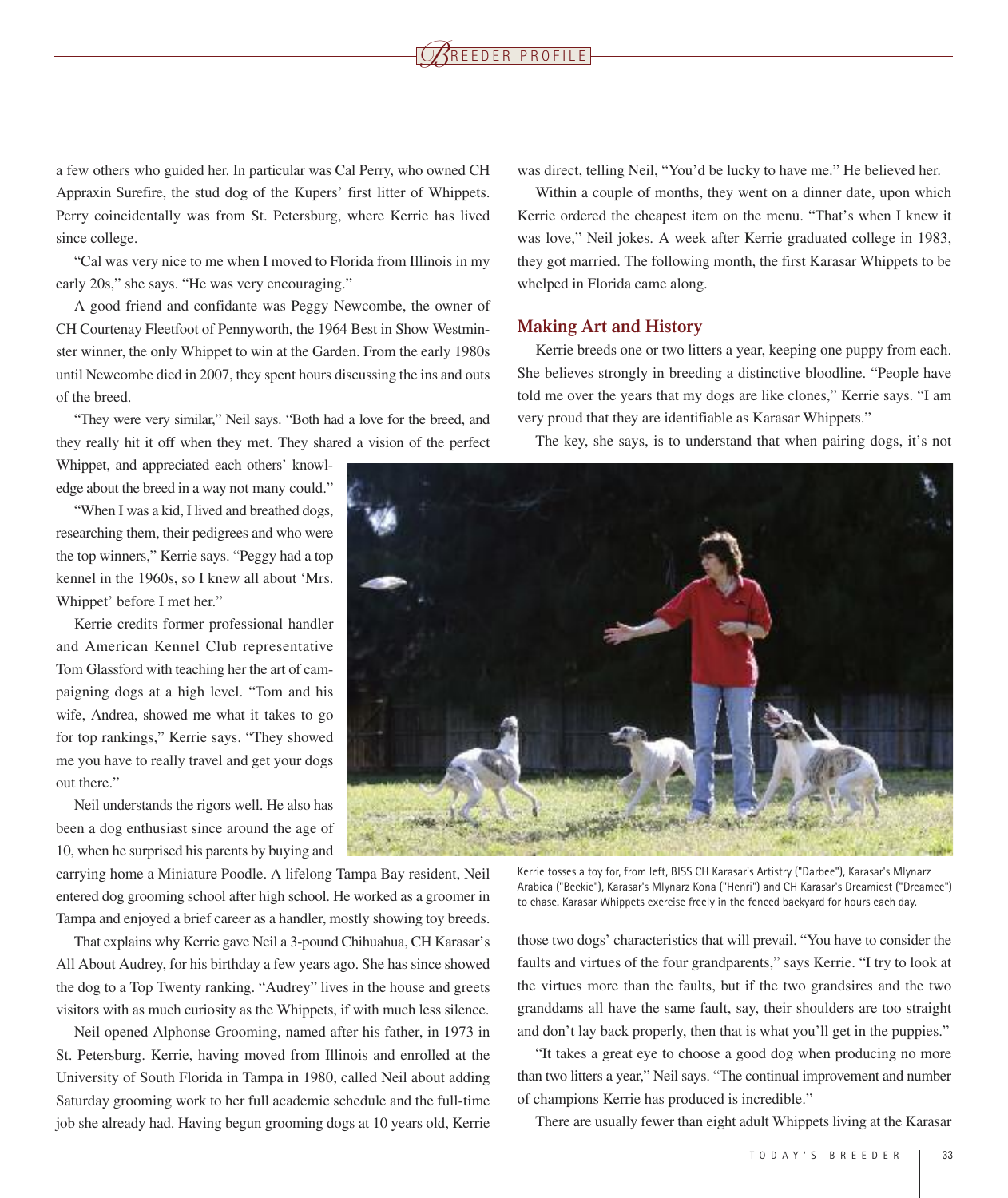

a few others who guided her. In particular was Cal Perry, who owned CH Appraxin Surefire, the stud dog of the Kupers' first litter of Whippets. Perry coincidentally was from St. Petersburg, where Kerrie has lived since college.

"Cal was very nice to me when I moved to Florida from Illinois in my early 20s," she says. "He was very encouraging."

A good friend and confidante was Peggy Newcombe, the owner of CH Courtenay Fleetfoot of Pennyworth, the 1964 Best in Show Westminster winner, the only Whippet to win at the Garden. From the early 1980s until Newcombe died in 2007, they spent hours discussing the ins and outs of the breed.

"They were very similar," Neil says. "Both had a love for the breed, and they really hit it off when they met. They shared a vision of the perfect

Whippet, and appreciated each others' knowledge about the breed in a way not many could."

"When I was a kid, I lived and breathed dogs, researching them, their pedigrees and who were the top winners," Kerrie says. "Peggy had a top kennel in the 1960s, so I knew all about 'Mrs. Whippet' before I met her."

Kerrie credits former professional handler and American Kennel Club representative Tom Glassford with teaching her the art of campaigning dogs at a high level. "Tom and his wife, Andrea, showed me what it takes to go for top rankings," Kerrie says. "They showed me you have to really travel and get your dogs out there."

Neil understands the rigors well. He also has been a dog enthusiast since around the age of 10, when he surprised his parents by buying and

carrying home a Miniature Poodle. A lifelong Tampa Bay resident, Neil entered dog grooming school after high school. He worked as a groomer in Tampa and enjoyed a brief career as a handler, mostly showing toy breeds.

That explains why Kerrie gave Neil a 3-pound Chihuahua, CH Karasar's All About Audrey, for his birthday a few years ago. She has since showed the dog to a Top Twenty ranking. "Audrey" lives in the house and greets visitors with as much curiosity as the Whippets, if with much less silence.

Neil opened Alphonse Grooming, named after his father, in 1973 in St. Petersburg. Kerrie, having moved from Illinois and enrolled at the University of South Florida in Tampa in 1980, called Neil about adding Saturday grooming work to her full academic schedule and the full-time job she already had. Having begun grooming dogs at 10 years old, Kerrie was direct, telling Neil, "You'd be lucky to have me." He believed her.

Within a couple of months, they went on a dinner date, upon which Kerrie ordered the cheapest item on the menu. "That's when I knew it was love," Neil jokes. A week after Kerrie graduated college in 1983, they got married. The following month, the first Karasar Whippets to be whelped in Florida came along.

#### **Making Art and History**

Kerrie breeds one or two litters a year, keeping one puppy from each. She believes strongly in breeding a distinctive bloodline. "People have told me over the years that my dogs are like clones," Kerrie says. "I am very proud that they are identifiable as Karasar Whippets."

The key, she says, is to understand that when pairing dogs, it's not



Kerrie tosses a toy for, from left, BISS CH Karasar's Artistry ("Darbee"), Karasar's Mlynarz Arabica ("Beckie"), Karasar's Mlynarz Kona ("Henri") and CH Karasar's Dreamiest ("Dreamee") to chase. Karasar Whippets exercise freely in the fenced backyard for hours each day.

those two dogs' characteristics that will prevail. "You have to consider the faults and virtues of the four grandparents," says Kerrie. "I try to look at the virtues more than the faults, but if the two grandsires and the two granddams all have the same fault, say, their shoulders are too straight and don't lay back properly, then that is what you'll get in the puppies."

"It takes a great eye to choose a good dog when producing no more than two litters a year," Neil says. "The continual improvement and number of champions Kerrie has produced is incredible."

There are usually fewer than eight adult Whippets living at the Karasar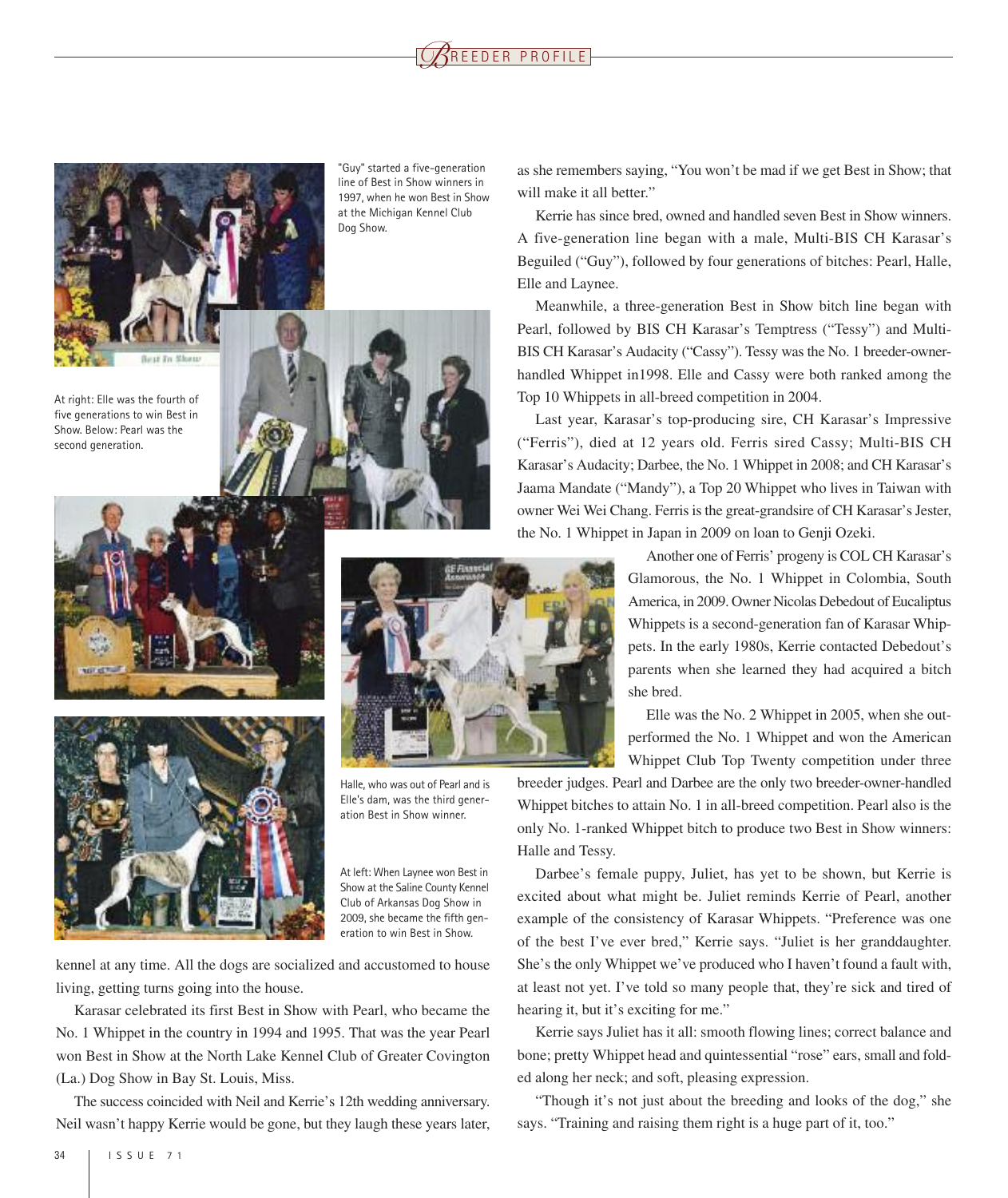



"Guy" started a five-generation line of Best in Show winners in 1997, when he won Best in Show at the Michigan Kennel Club Dog Show.

At right: Elle was the fourth of five generations to win Best in Show. Below: Pearl was the second generation.







Halle, who was out of Pearl and is Elle's dam, was the third generation Best in Show winner.

At left: When Laynee won Best in Show at the Saline County Kennel Club of Arkansas Dog Show in 2009, she became the fifth generation to win Best in Show.

kennel at any time. All the dogs are socialized and accustomed to house living, getting turns going into the house.

Karasar celebrated its first Best in Show with Pearl, who became the No. 1 Whippet in the country in 1994 and 1995. That was the year Pearl won Best in Show at the North Lake Kennel Club of Greater Covington (La.) Dog Show in Bay St. Louis, Miss.

The success coincided with Neil and Kerrie's 12th wedding anniversary. Neil wasn't happy Kerrie would be gone, but they laugh these years later, as she remembers saying, "You won't be mad if we get Best in Show; that will make it all better."

Kerrie has since bred, owned and handled seven Best in Show winners. A five-generation line began with a male, Multi-BIS CH Karasar's Beguiled ("Guy"), followed by four generations of bitches: Pearl, Halle, Elle and Laynee.

Meanwhile, a three-generation Best in Show bitch line began with Pearl, followed by BIS CH Karasar's Temptress ("Tessy") and Multi-BIS CH Karasar's Audacity ("Cassy"). Tessy was the No. 1 breeder-ownerhandled Whippet in1998. Elle and Cassy were both ranked among the Top 10 Whippets in all-breed competition in 2004.

Last year, Karasar's top-producing sire, CH Karasar's Impressive ("Ferris"), died at 12 years old. Ferris sired Cassy; Multi-BIS CH Karasar's Audacity; Darbee, the No. 1 Whippet in 2008; and CH Karasar's Jaama Mandate ("Mandy"), a Top 20 Whippet who lives in Taiwan with owner Wei Wei Chang. Ferris is the great-grandsire of CH Karasar's Jester, the No. 1 Whippet in Japan in 2009 on loan to Genji Ozeki.

> Another one of Ferris' progeny is COL CH Karasar's Glamorous, the No. 1 Whippet in Colombia, South America, in 2009. Owner Nicolas Debedout of Eucaliptus Whippets is a second-generation fan of Karasar Whippets. In the early 1980s, Kerrie contacted Debedout's parents when she learned they had acquired a bitch she bred.

> Elle was the No. 2 Whippet in 2005, when she outperformed the No. 1 Whippet and won the American Whippet Club Top Twenty competition under three

breeder judges. Pearl and Darbee are the only two breeder-owner-handled Whippet bitches to attain No. 1 in all-breed competition. Pearl also is the only No. 1-ranked Whippet bitch to produce two Best in Show winners: Halle and Tessy.

Darbee's female puppy, Juliet, has yet to be shown, but Kerrie is excited about what might be. Juliet reminds Kerrie of Pearl, another example of the consistency of Karasar Whippets. "Preference was one of the best I've ever bred," Kerrie says. "Juliet is her granddaughter. She's the only Whippet we've produced who I haven't found a fault with, at least not yet. I've told so many people that, they're sick and tired of hearing it, but it's exciting for me."

Kerrie says Juliet has it all: smooth flowing lines; correct balance and bone; pretty Whippet head and quintessential "rose" ears, small and folded along her neck; and soft, pleasing expression.

"Though it's not just about the breeding and looks of the dog," she says. "Training and raising them right is a huge part of it, too."